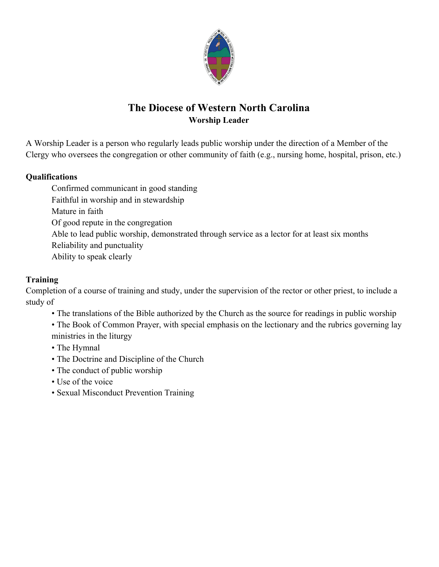

# **The Diocese of Western North Carolina Worship Leader**

A Worship Leader is a person who regularly leads public worship under the direction of a Member of the Clergy who oversees the congregation or other community of faith (e.g., nursing home, hospital, prison, etc.)

#### **Qualifications**

Confirmed communicant in good standing Faithful in worship and in stewardship Mature in faith Of good repute in the congregation Able to lead public worship, demonstrated through service as a lector for at least six months Reliability and punctuality Ability to speak clearly

#### **Training**

Completion of a course of training and study, under the supervision of the rector or other priest, to include a study of

• The translations of the Bible authorized by the Church as the source for readings in public worship

• The Book of Common Prayer, with special emphasis on the lectionary and the rubrics governing lay ministries in the liturgy

- The Hymnal
- The Doctrine and Discipline of the Church
- The conduct of public worship
- Use of the voice
- Sexual Misconduct Prevention Training